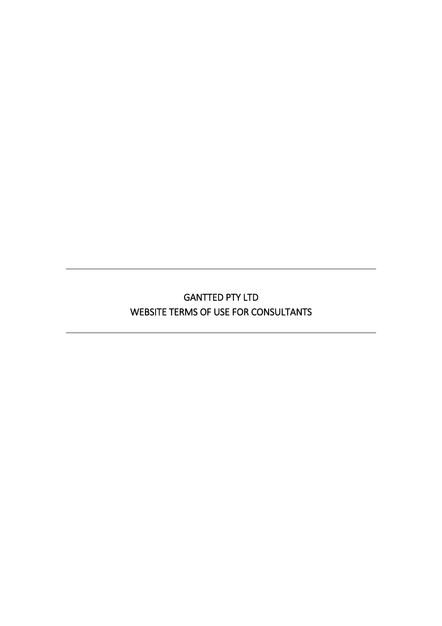# GANTTED PTY LTD WEBSITE TERMS OF USE FOR CONSULTANTS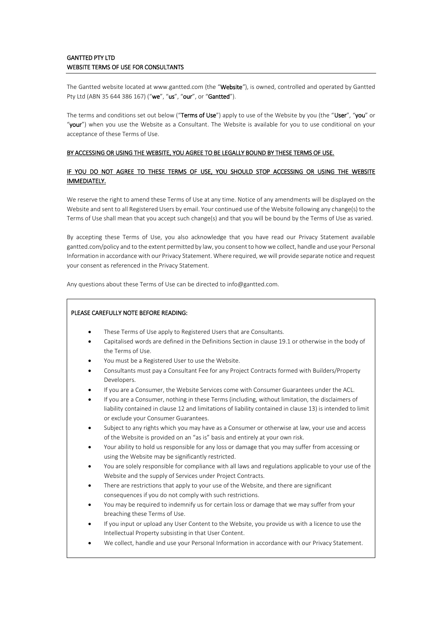# GANTTED PTY LTD WEBSITE TERMS OF USE FOR CONSULTANTS

The Gantted website located at www.gantted.com (the "Website*"*), is owned, controlled and operated by Gantted Pty Ltd (ABN 35 644 386 167) ("we", "us", "our", or "Gantted").

The terms and conditions set out below ("Terms of Use") apply to use of the Website by you (the "User", "you" or "your") when you use the Website as a Consultant. The Website is available for you to use conditional on your acceptance of these Terms of Use.

### BY ACCESSING OR USING THE WEBSITE, YOU AGREE TO BE LEGALLY BOUND BY THESE TERMS OF USE.

## IF YOU DO NOT AGREE TO THESE TERMS OF USE, YOU SHOULD STOP ACCESSING OR USING THE WEBSITE IMMEDIATELY.

We reserve the right to amend these Terms of Use at any time. Notice of any amendments will be displayed on the Website and sent to all Registered Users by email. Your continued use of the Website following any change(s) to the Terms of Use shall mean that you accept such change(s) and that you will be bound by the Terms of Use as varied.

By accepting these Terms of Use, you also acknowledge that you have read our Privacy Statement available gantted.com/policy and to the extent permitted by law, you consent to how we collect, handle and use your Personal Information in accordance with our Privacy Statement. Where required, we will provide separate notice and request your consent as referenced in the Privacy Statement.

Any questions about these Terms of Use can be directed to info@gantted.com.

### PLEASE CAREFULLY NOTE BEFORE READING:

- These Terms of Use apply to Registered Users that are Consultants.
- Capitalised words are defined in the Definitions Section in clause 19.1 or otherwise in the body of the Terms of Use.
- You must be a Registered User to use the Website.
- Consultants must pay a Consultant Fee for any Project Contracts formed with Builders/Property Developers.
- If you are a Consumer, the Website Services come with Consumer Guarantees under the ACL.
- If you are a Consumer, nothing in these Terms (including, without limitation, the disclaimers of liability contained in clause [12](#page-9-0) and limitations of liability contained in clause [13\)](#page-10-0) is intended to limit or exclude your Consumer Guarantees.
- Subject to any rights which you may have as a Consumer or otherwise at law, your use and access of the Website is provided on an "as is" basis and entirely at your own risk.
- Your ability to hold us responsible for any loss or damage that you may suffer from accessing or using the Website may be significantly restricted.
- You are solely responsible for compliance with all laws and regulations applicable to your use of the Website and the supply of Services under Project Contracts.
- There are restrictions that apply to your use of the Website, and there are significant consequences if you do not comply with such restrictions.
- You may be required to indemnify us for certain loss or damage that we may suffer from your breaching these Terms of Use.
- If you input or upload any User Content to the Website, you provide us with a licence to use the Intellectual Property subsisting in that User Content.
- We collect, handle and use your Personal Information in accordance with our Privacy Statement.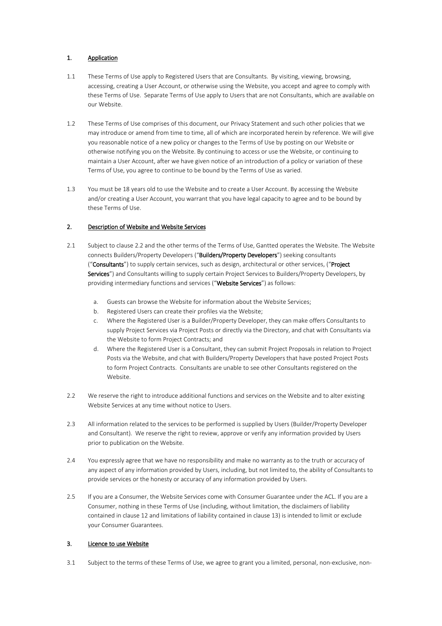# 1. Application

- 1.1 These Terms of Use apply to Registered Users that are Consultants. By visiting, viewing, browsing, accessing, creating a User Account, or otherwise using the Website, you accept and agree to comply with these Terms of Use. Separate Terms of Use apply to Users that are not Consultants, which are available on our Website.
- 1.2 These Terms of Use comprises of this document, our Privacy Statement and such other policies that we may introduce or amend from time to time, all of which are incorporated herein by reference. We will give you reasonable notice of a new policy or changes to the Terms of Use by posting on our Website or otherwise notifying you on the Website. By continuing to access or use the Website, or continuing to maintain a User Account, after we have given notice of an introduction of a policy or variation of these Terms of Use, you agree to continue to be bound by the Terms of Use as varied.
- 1.3 You must be 18 years old to use the Website and to create a User Account. By accessing the Website and/or creating a User Account, you warrant that you have legal capacity to agree and to be bound by these Terms of Use.

## 2. Description of Website and Website Services

- <span id="page-2-2"></span>2.1 Subject to clause [2.2](#page-2-0) and the other terms of the Terms of Use, Gantted operates the Website. The Website connects Builders/Property Developers ("Builders/Property Developers") seeking consultants ("Consultants") to supply certain services, such as design, architectural or other services, ("Project Services") and Consultants willing to supply certain Project Services to Builders/Property Developers, by providing intermediary functions and services ("Website Services") as follows:
	- a. Guests can browse the Website for information about the Website Services;
	- b. Registered Users can create their profiles via the Website;
	- c. Where the Registered User is a Builder/Property Developer, they can make offers Consultants to supply Project Services via Project Posts or directly via the Directory, and chat with Consultants via the Website to form Project Contracts; and
	- d. Where the Registered User is a Consultant, they can submit Project Proposals in relation to Project Posts via the Website, and chat with Builders/Property Developers that have posted Project Posts to form Project Contracts. Consultants are unable to see other Consultants registered on the Website.
- <span id="page-2-0"></span>2.2 We reserve the right to introduce additional functions and services on the Website and to alter existing Website Services at any time without notice to Users.
- 2.3 All information related to the services to be performed is supplied by Users (Builder/Property Developer and Consultant). We reserve the right to review, approve or verify any information provided by Users prior to publication on the Website.
- 2.4 You expressly agree that we have no responsibility and make no warranty as to the truth or accuracy of any aspect of any information provided by Users, including, but not limited to, the ability of Consultants to provide services or the honesty or accuracy of any information provided by Users.
- 2.5 If you are a Consumer, the Website Services come with Consumer Guarantee under the ACL. If you are a Consumer, nothing in these Terms of Use (including, without limitation, the disclaimers of liability contained in clause [12](#page-9-0) and limitations of liability contained in clause [13\)](#page-10-0) is intended to limit or exclude your Consumer Guarantees.

## 3. Licence to use Website

<span id="page-2-1"></span>3.1 Subject to the terms of these Terms of Use, we agree to grant you a limited, personal, non-exclusive, non-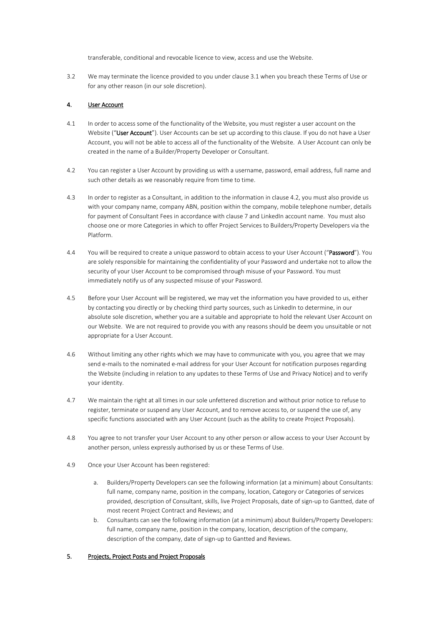transferable, conditional and revocable licence to view, access and use the Website.

3.2 We may terminate the licence provided to you under clause [3.1](#page-2-1) when you breach these Terms of Use or for any other reason (in our sole discretion).

## 4. User Account

- <span id="page-3-1"></span>4.1 In order to access some of the functionality of the Website, you must register a user account on the Website ("User Account"). User Accounts can be set up according to this clause. If you do not have a User Account, you will not be able to access all of the functionality of the Website. A User Account can only be created in the name of a Builder/Property Developer or Consultant.
- <span id="page-3-0"></span>4.2 You can register a User Account by providing us with a username, password, email address, full name and such other details as we reasonably require from time to time.
- 4.3 In order to register as a Consultant, in addition to the information in clause [4.2,](#page-3-0) you must also provide us with your company name, company ABN, position within the company, mobile telephone number, details for payment of Consultant Fees in accordance with clause [7](#page-5-0) and LinkedIn account name. You must also choose one or more Categories in which to offer Project Services to Builders/Property Developers via the Platform.
- 4.4 You will be required to create a unique password to obtain access to your User Account ("Password"). You are solely responsible for maintaining the confidentiality of your Password and undertake not to allow the security of your User Account to be compromised through misuse of your Password. You must immediately notify us of any suspected misuse of your Password.
- 4.5 Before your User Account will be registered, we may vet the information you have provided to us, either by contacting you directly or by checking third party sources, such as LinkedIn to determine, in our absolute sole discretion, whether you are a suitable and appropriate to hold the relevant User Account on our Website. We are not required to provide you with any reasons should be deem you unsuitable or not appropriate for a User Account.
- 4.6 Without limiting any other rights which we may have to communicate with you, you agree that we may send e-mails to the nominated e-mail address for your User Account for notification purposes regarding the Website (including in relation to any updates to these Terms of Use and Privacy Notice) and to verify your identity.
- 4.7 We maintain the right at all times in our sole unfettered discretion and without prior notice to refuse to register, terminate or suspend any User Account, and to remove access to, or suspend the use of, any specific functions associated with any User Account (such as the ability to create Project Proposals).
- 4.8 You agree to not transfer your User Account to any other person or allow access to your User Account by another person, unless expressly authorised by us or these Terms of Use.
- 4.9 Once your User Account has been registered:
	- a. Builders/Property Developers can see the following information (at a minimum) about Consultants: full name, company name, position in the company, location, Category or Categories of services provided, description of Consultant, skills, live Project Proposals, date of sign-up to Gantted, date of most recent Project Contract and Reviews; and
	- b. Consultants can see the following information (at a minimum) about Builders/Property Developers: full name, company name, position in the company, location, description of the company, description of the company, date of sign-up to Gantted and Reviews.

### 5. Projects, Project Posts and Project Proposals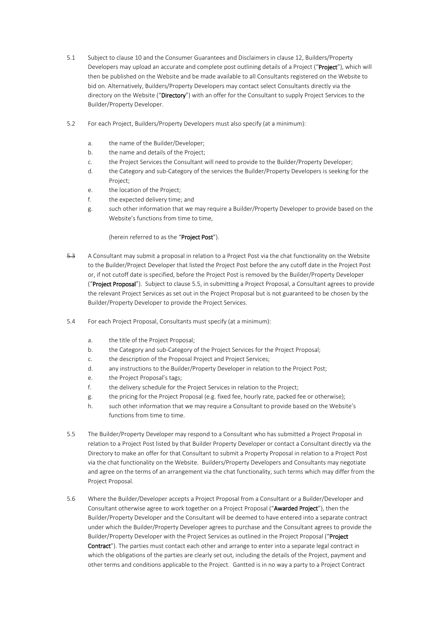- <span id="page-4-2"></span>5.1 Subject to clause [10](#page-8-0) and the Consumer Guarantees and Disclaimers in clause [12,](#page-9-0) Builders/Property Developers may upload an accurate and complete post outlining details of a Project ("Project"), which will then be published on the Website and be made available to all Consultants registered on the Website to bid on. Alternatively, Builders/Property Developers may contact select Consultants directly via the directory on the Website ("Directory") with an offer for the Consultant to supply Project Services to the Builder/Property Developer.
- <span id="page-4-3"></span>5.2 For each Project, Builders/Property Developers must also specify (at a minimum):
	- a. the name of the Builder/Developer;
	- b. the name and details of the Project;
	- c. the Project Services the Consultant will need to provide to the Builder/Property Developer;
	- d. the Category and sub-Category of the services the Builder/Property Developers is seeking for the Project;
	- e. the location of the Project;
	- f. the expected delivery time; and
	- g. such other information that we may require a Builder/Property Developer to provide based on the Website's functions from time to time,

### (herein referred to as the "Project Post").

- <span id="page-4-4"></span>5.3 A Consultant may submit a proposal in relation to a Project Post via the chat functionality on the Website to the Builder/Project Developer that listed the Project Post before the any cutoff date in the Project Post or, if not cutoff date is specified, before the Project Post is removed by the Builder/Property Developer ("Project Proposal"). Subject to clause [5.5,](#page-4-0) in submitting a Project Proposal, a Consultant agrees to provide the relevant Project Services as set out in the Project Proposal but is not guaranteed to be chosen by the Builder/Property Developer to provide the Project Services.
- <span id="page-4-5"></span>5.4 For each Project Proposal, Consultants must specify (at a minimum):
	- a. the title of the Project Proposal;
	- b. the Category and sub-Category of the Project Services for the Project Proposal;
	- c. the description of the Proposal Project and Project Services;
	- d. any instructions to the Builder/Property Developer in relation to the Project Post;
	- e. the Project Proposal's tags;
	- f. the delivery schedule for the Project Services in relation to the Project;
	- g. the pricing for the Project Proposal (e.g. fixed fee, hourly rate, packed fee or otherwise);
	- h. such other information that we may require a Consultant to provide based on the Website's functions from time to time.
- <span id="page-4-0"></span>5.5 The Builder/Property Developer may respond to a Consultant who has submitted a Project Proposal in relation to a Project Post listed by that Builder Property Developer or contact a Consultant directly via the Directory to make an offer for that Consultant to submit a Property Proposal in relation to a Project Post via the chat functionality on the Website. Builders/Property Developers and Consultants may negotiate and agree on the terms of an arrangement via the chat functionality, such terms which may differ from the Project Proposal.
- <span id="page-4-1"></span>5.6 Where the Builder/Developer accepts a Project Proposal from a Consultant or a Builder/Developer and Consultant otherwise agree to work together on a Project Proposal ("Awarded Project"), then the Builder/Property Developer and the Consultant will be deemed to have entered into a separate contract under which the Builder/Property Developer agrees to purchase and the Consultant agrees to provide the Builder/Property Developer with the Project Services as outlined in the Project Proposal ("Project Contract"). The parties must contact each other and arrange to enter into a separate legal contract in which the obligations of the parties are clearly set out, including the details of the Project, payment and other terms and conditions applicable to the Project. Gantted is in no way a party to a Project Contract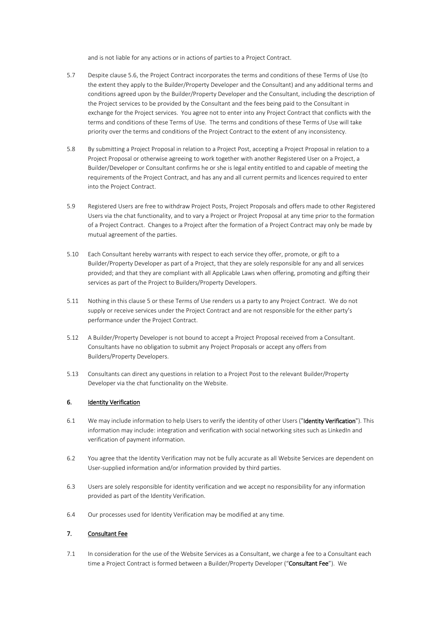and is not liable for any actions or in actions of parties to a Project Contract.

- 5.7 Despite clause [5.6,](#page-4-1) the Project Contract incorporates the terms and conditions of these Terms of Use (to the extent they apply to the Builder/Property Developer and the Consultant) and any additional terms and conditions agreed upon by the Builder/Property Developer and the Consultant, including the description of the Project services to be provided by the Consultant and the fees being paid to the Consultant in exchange for the Project services. You agree not to enter into any Project Contract that conflicts with the terms and conditions of these Terms of Use. The terms and conditions of these Terms of Use will take priority over the terms and conditions of the Project Contract to the extent of any inconsistency.
- 5.8 By submitting a Project Proposal in relation to a Project Post, accepting a Project Proposal in relation to a Project Proposal or otherwise agreeing to work together with another Registered User on a Project, a Builder/Developer or Consultant confirms he or she is legal entity entitled to and capable of meeting the requirements of the Project Contract, and has any and all current permits and licences required to enter into the Project Contract.
- 5.9 Registered Users are free to withdraw Project Posts, Project Proposals and offers made to other Registered Users via the chat functionality, and to vary a Project or Project Proposal at any time prior to the formation of a Project Contract. Changes to a Project after the formation of a Project Contract may only be made by mutual agreement of the parties.
- 5.10 Each Consultant hereby warrants with respect to each service they offer, promote, or gift to a Builder/Property Developer as part of a Project, that they are solely responsible for any and all services provided; and that they are compliant with all Applicable Laws when offering, promoting and gifting their services as part of the Project to Builders/Property Developers.
- 5.11 Nothing in this clause 5 or these Terms of Use renders us a party to any Project Contract. We do not supply or receive services under the Project Contract and are not responsible for the either party's performance under the Project Contract.
- 5.12 A Builder/Property Developer is not bound to accept a Project Proposal received from a Consultant. Consultants have no obligation to submit any Project Proposals or accept any offers from Builders/Property Developers.
- 5.13 Consultants can direct any questions in relation to a Project Post to the relevant Builder/Property Developer via the chat functionality on the Website.

## 6. Identity Verification

- 6.1 We may include information to help Users to verify the identity of other Users ("Identity Verification"). This information may include: integration and verification with social networking sites such as LinkedIn and verification of payment information.
- 6.2 You agree that the Identity Verification may not be fully accurate as all Website Services are dependent on User-supplied information and/or information provided by third parties.
- 6.3 Users are solely responsible for identity verification and we accept no responsibility for any information provided as part of the Identity Verification.
- 6.4 Our processes used for Identity Verification may be modified at any time.

# <span id="page-5-0"></span>7. Consultant Fee

<span id="page-5-1"></span>7.1 In consideration for the use of the Website Services as a Consultant, we charge a fee to a Consultant each time a Project Contract is formed between a Builder/Property Developer ("Consultant Fee"). We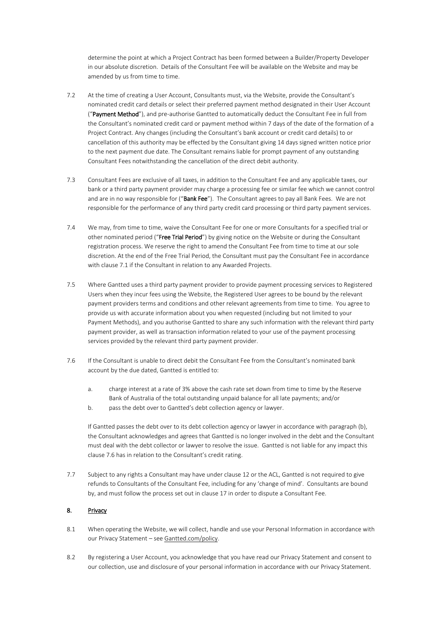determine the point at which a Project Contract has been formed between a Builder/Property Developer in our absolute discretion. Details of the Consultant Fee will be available on the Website and may be amended by us from time to time.

- 7.2 At the time of creating a User Account, Consultants must, via the Website, provide the Consultant's nominated credit card details or select their preferred payment method designated in their User Account ("Payment Method"), and pre-authorise Gantted to automatically deduct the Consultant Fee in full from the Consultant's nominated credit card or payment method within 7 days of the date of the formation of a Project Contract. Any changes (including the Consultant's bank account or credit card details) to or cancellation of this authority may be effected by the Consultant giving 14 days signed written notice prior to the next payment due date. The Consultant remains liable for prompt payment of any outstanding Consultant Fees notwithstanding the cancellation of the direct debit authority.
- 7.3 Consultant Fees are exclusive of all taxes, in addition to the Consultant Fee and any applicable taxes, our bank or a third party payment provider may charge a processing fee or similar fee which we cannot control and are in no way responsible for ("Bank Fee"). The Consultant agrees to pay all Bank Fees. We are not responsible for the performance of any third party credit card processing or third party payment services.
- 7.4 We may, from time to time, waive the Consultant Fee for one or more Consultants for a specified trial or other nominated period ("Free Trial Period") by giving notice on the Website or during the Consultant registration process. We reserve the right to amend the Consultant Fee from time to time at our sole discretion. At the end of the Free Trial Period, the Consultant must pay the Consultant Fee in accordance with clause [7.1](#page-5-1) if the Consultant in relation to any Awarded Projects.
- 7.5 Where Gantted uses a third party payment provider to provide payment processing services to Registered Users when they incur fees using the Website, the Registered User agrees to be bound by the relevant payment providers terms and conditions and other relevant agreements from time to time. You agree to provide us with accurate information about you when requested (including but not limited to your Payment Methods), and you authorise Gantted to share any such information with the relevant third party payment provider, as well as transaction information related to your use of the payment processing services provided by the relevant third party payment provider.
- <span id="page-6-0"></span>7.6 If the Consultant is unable to direct debit the Consultant Fee from the Consultant's nominated bank account by the due dated, Gantted is entitled to:
	- a. charge interest at a rate of 3% above the cash rate set down from time to time by the Reserve Bank of Australia of the total outstanding unpaid balance for all late payments; and/or
	- b. pass the debt over to Gantted's debt collection agency or lawyer.

If Gantted passes the debt over to its debt collection agency or lawyer in accordance with paragraph (b), the Consultant acknowledges and agrees that Gantted is no longer involved in the debt and the Consultant must deal with the debt collector or lawyer to resolve the issue. Gantted is not liable for any impact this claus[e 7.6](#page-6-0) has in relation to the Consultant's credit rating.

7.7 Subject to any rights a Consultant may have under clause [12](#page-9-0) or the ACL, Gantted is not required to give refunds to Consultants of the Consultant Fee, including for any 'change of mind'. Consultants are bound by, and must follow the process set out in clause [17](#page-12-0) in order to dispute a Consultant Fee.

# 8. Privacy

- 8.1 When operating the Website, we will collect, handle and use your Personal Information in accordance with our Privacy Statement – see [Gantted.com/policy.](https://www.gantted.com/policy)
- 8.2 By registering a User Account, you acknowledge that you have read our Privacy Statement and consent to our collection, use and disclosure of your personal information in accordance with our Privacy Statement.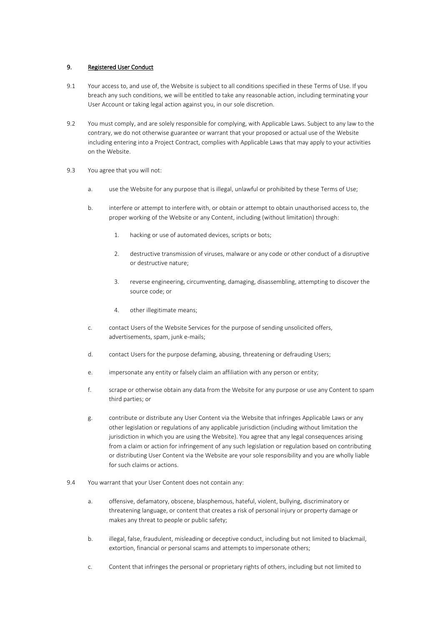### <span id="page-7-0"></span>9. Registered User Conduct

- 9.1 Your access to, and use of, the Website is subject to all conditions specified in these Terms of Use. If you breach any such conditions, we will be entitled to take any reasonable action, including terminating your User Account or taking legal action against you, in our sole discretion.
- 9.2 You must comply, and are solely responsible for complying, with Applicable Laws. Subject to any law to the contrary, we do not otherwise guarantee or warrant that your proposed or actual use of the Website including entering into a Project Contract, complies with Applicable Laws that may apply to your activities on the Website.
- 9.3 You agree that you will not:
	- a. use the Website for any purpose that is illegal, unlawful or prohibited by these Terms of Use;
	- b. interfere or attempt to interfere with, or obtain or attempt to obtain unauthorised access to, the proper working of the Website or any Content, including (without limitation) through:
		- 1. hacking or use of automated devices, scripts or bots;
		- 2. destructive transmission of viruses, malware or any code or other conduct of a disruptive or destructive nature;
		- 3. reverse engineering, circumventing, damaging, disassembling, attempting to discover the source code; or
		- 4. other illegitimate means;
	- c. contact Users of the Website Services for the purpose of sending unsolicited offers, advertisements, spam, junk e-mails;
	- d. contact Users for the purpose defaming, abusing, threatening or defrauding Users;
	- e. impersonate any entity or falsely claim an affiliation with any person or entity;
	- f. scrape or otherwise obtain any data from the Website for any purpose or use any Content to spam third parties; or
	- g. contribute or distribute any User Content via the Website that infringes Applicable Laws or any other legislation or regulations of any applicable jurisdiction (including without limitation the jurisdiction in which you are using the Website). You agree that any legal consequences arising from a claim or action for infringement of any such legislation or regulation based on contributing or distributing User Content via the Website are your sole responsibility and you are wholly liable for such claims or actions.
- 9.4 You warrant that your User Content does not contain any:
	- a. offensive, defamatory, obscene, blasphemous, hateful, violent, bullying, discriminatory or threatening language, or content that creates a risk of personal injury or property damage or makes any threat to people or public safety;
	- b. illegal, false, fraudulent, misleading or deceptive conduct, including but not limited to blackmail, extortion, financial or personal scams and attempts to impersonate others;
	- c. Content that infringes the personal or proprietary rights of others, including but not limited to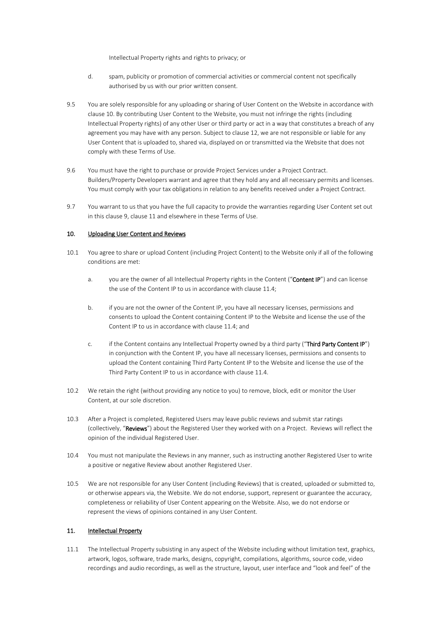Intellectual Property rights and rights to privacy; or

- d. spam, publicity or promotion of commercial activities or commercial content not specifically authorised by us with our prior written consent.
- 9.5 You are solely responsible for any uploading or sharing of User Content on the Website in accordance with clause [10.](#page-8-0) By contributing User Content to the Website, you must not infringe the rights (including Intellectual Property rights) of any other User or third party or act in a way that constitutes a breach of any agreement you may have with any person. Subject to clause 12, we are not responsible or liable for any User Content that is uploaded to, shared via, displayed on or transmitted via the Website that does not comply with these Terms of Use.
- 9.6 You must have the right to purchase or provide Project Services under a Project Contract. Builders/Property Developers warrant and agree that they hold any and all necessary permits and licenses. You must comply with your tax obligations in relation to any benefits received under a Project Contract.
- 9.7 You warrant to us that you have the full capacity to provide the warranties regarding User Content set out in this clause [9,](#page-7-0) clause [11](#page-8-1) and elsewhere in these Terms of Use.

### <span id="page-8-0"></span>10. Uploading User Content and Reviews

- 10.1 You agree to share or upload Content (including Project Content) to the Website only if all of the following conditions are met:
	- a. you are the owner of all Intellectual Property rights in the Content ("Content IP") and can license the use of the Content IP to us in accordance with clause [11.4;](#page-9-1)
	- b. if you are not the owner of the Content IP, you have all necessary licenses, permissions and consents to upload the Content containing Content IP to the Website and license the use of the Content IP to us in accordance with clause [11.4;](#page-9-1) and
	- c. if the Content contains any Intellectual Property owned by a third party ("Third Party Content IP") in conjunction with the Content IP, you have all necessary licenses, permissions and consents to upload the Content containing Third Party Content IP to the Website and license the use of the Third Party Content IP to us in accordance with clause [11.4.](#page-9-1)
- 10.2 We retain the right (without providing any notice to you) to remove, block, edit or monitor the User Content, at our sole discretion.
- 10.3 After a Project is completed, Registered Users may leave public reviews and submit star ratings (collectively, "Reviews") about the Registered User they worked with on a Project. Reviews will reflect the opinion of the individual Registered User.
- 10.4 You must not manipulate the Reviews in any manner, such as instructing another Registered User to write a positive or negative Review about another Registered User.
- 10.5 We are not responsible for any User Content (including Reviews) that is created, uploaded or submitted to, or otherwise appears via, the Website. We do not endorse, support, represent or guarantee the accuracy, completeness or reliability of User Content appearing on the Website. Also, we do not endorse or represent the views of opinions contained in any User Content.

### <span id="page-8-1"></span>11. Intellectual Property

11.1 The Intellectual Property subsisting in any aspect of the Website including without limitation text, graphics, artwork, logos, software, trade marks, designs, copyright, compilations, algorithms, source code, video recordings and audio recordings, as well as the structure, layout, user interface and "look and feel" of the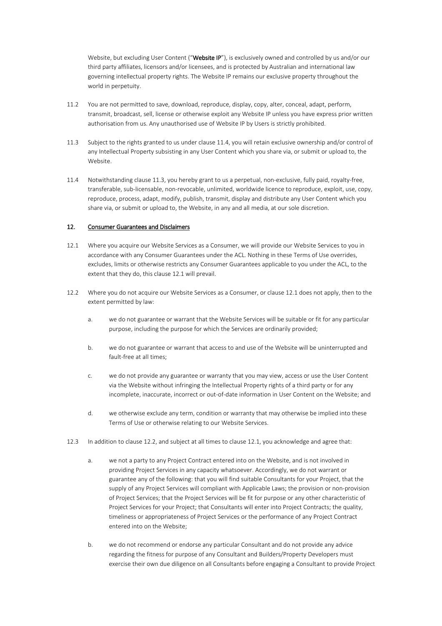Website, but excluding User Content ("Website IP"), is exclusively owned and controlled by us and/or our third party affiliates, licensors and/or licensees, and is protected by Australian and international law governing intellectual property rights. The Website IP remains our exclusive property throughout the world in perpetuity.

- 11.2 You are not permitted to save, download, reproduce, display, copy, alter, conceal, adapt, perform, transmit, broadcast, sell, license or otherwise exploit any Website IP unless you have express prior written authorisation from us. Any unauthorised use of Website IP by Users is strictly prohibited.
- <span id="page-9-2"></span>11.3 Subject to the rights granted to us under clause 11.4, you will retain exclusive ownership and/or control of any Intellectual Property subsisting in any User Content which you share via, or submit or upload to, the Website.
- <span id="page-9-1"></span>11.4 Notwithstanding clause [11.3,](#page-9-2) you hereby grant to us a perpetual, non-exclusive, fully paid, royalty-free, transferable, sub-licensable, non-revocable, unlimited, worldwide licence to reproduce, exploit, use, copy, reproduce, process, adapt, modify, publish, transmit, display and distribute any User Content which you share via, or submit or upload to, the Website, in any and all media, at our sole discretion.

### <span id="page-9-0"></span>12. Consumer Guarantees and Disclaimers

- <span id="page-9-3"></span>12.1 Where you acquire our Website Services as a Consumer, we will provide our Website Services to you in accordance with any Consumer Guarantees under the ACL. Nothing in these Terms of Use overrides, excludes, limits or otherwise restricts any Consumer Guarantees applicable to you under the ACL, to the extent that they do, this clause 12.1 will prevail.
- 12.2 Where you do not acquire our Website Services as a Consumer, or clause 12.1 does not apply, then to the extent permitted by law:
	- a. we do not guarantee or warrant that the Website Services will be suitable or fit for any particular purpose, including the purpose for which the Services are ordinarily provided;
	- b. we do not guarantee or warrant that access to and use of the Website will be uninterrupted and fault-free at all times;
	- c. we do not provide any guarantee or warranty that you may view, access or use the User Content via the Website without infringing the Intellectual Property rights of a third party or for any incomplete, inaccurate, incorrect or out-of-date information in User Content on the Website; and
	- d. we otherwise exclude any term, condition or warranty that may otherwise be implied into these Terms of Use or otherwise relating to our Website Services.
- 12.3 In addition to clause 12.2, and subject at all times to clause 12.1, you acknowledge and agree that:
	- a. we not a party to any Project Contract entered into on the Website, and is not involved in providing Project Services in any capacity whatsoever. Accordingly, we do not warrant or guarantee any of the following: that you will find suitable Consultants for your Project, that the supply of any Project Services will compliant with Applicable Laws; the provision or non-provision of Project Services; that the Project Services will be fit for purpose or any other characteristic of Project Services for your Project; that Consultants will enter into Project Contracts; the quality, timeliness or appropriateness of Project Services or the performance of any Project Contract entered into on the Website;
	- b. we do not recommend or endorse any particular Consultant and do not provide any advice regarding the fitness for purpose of any Consultant and Builders/Property Developers must exercise their own due diligence on all Consultants before engaging a Consultant to provide Project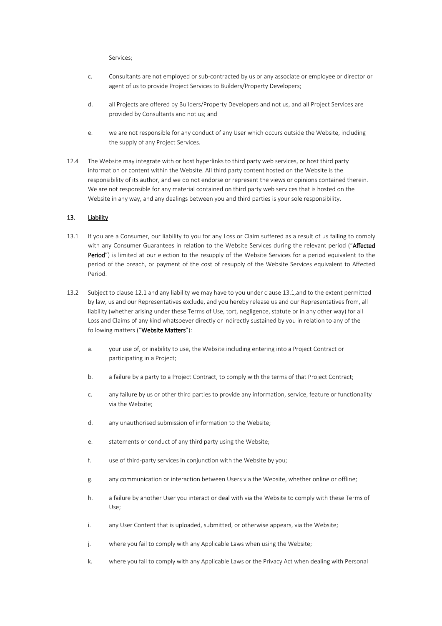Services;

- c. Consultants are not employed or sub-contracted by us or any associate or employee or director or agent of us to provide Project Services to Builders/Property Developers;
- d. all Projects are offered by Builders/Property Developers and not us, and all Project Services are provided by Consultants and not us; and
- e. we are not responsible for any conduct of any User which occurs outside the Website, including the supply of any Project Services.
- 12.4 The Website may integrate with or host hyperlinks to third party web services, or host third party information or content within the Website. All third party content hosted on the Website is the responsibility of its author, and we do not endorse or represent the views or opinions contained therein. We are not responsible for any material contained on third party web services that is hosted on the Website in any way, and any dealings between you and third parties is your sole responsibility.

### <span id="page-10-0"></span>13. Liability

- 13.1 If you are a Consumer, our liability to you for any Loss or Claim suffered as a result of us failing to comply with any Consumer Guarantees in relation to the Website Services during the relevant period ("Affected Period") is limited at our election to the resupply of the Website Services for a period equivalent to the period of the breach, or payment of the cost of resupply of the Website Services equivalent to Affected Period.
- 13.2 Subject to clause [12.1](#page-9-3) and any liability we may have to you under clause 13.1,and to the extent permitted by law, us and our Representatives exclude, and you hereby release us and our Representatives from, all liability (whether arising under these Terms of Use, tort, negligence, statute or in any other way) for all Loss and Claims of any kind whatsoever directly or indirectly sustained by you in relation to any of the following matters ("Website Matters"):
	- a. your use of, or inability to use, the Website including entering into a Project Contract or participating in a Project;
	- b. a failure by a party to a Project Contract, to comply with the terms of that Project Contract;
	- c. any failure by us or other third parties to provide any information, service, feature or functionality via the Website;
	- d. any unauthorised submission of information to the Website;
	- e. statements or conduct of any third party using the Website;
	- f. use of third-party services in conjunction with the Website by you;
	- g. any communication or interaction between Users via the Website, whether online or offline;
	- h. a failure by another User you interact or deal with via the Website to comply with these Terms of Use;
	- i. any User Content that is uploaded, submitted, or otherwise appears, via the Website;
	- j. where you fail to comply with any Applicable Laws when using the Website;
	- k. where you fail to comply with any Applicable Laws or the Privacy Act when dealing with Personal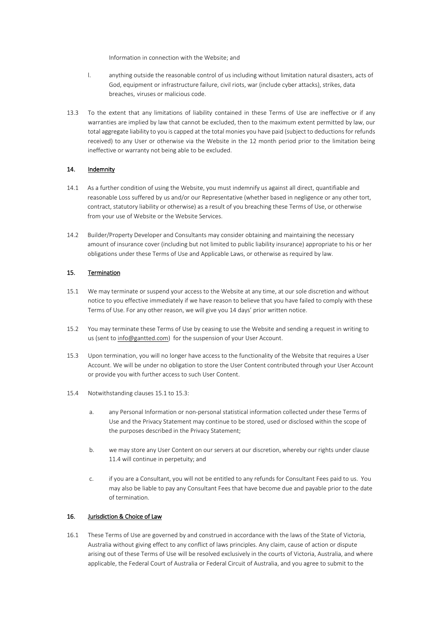Information in connection with the Website; and

- l. anything outside the reasonable control of us including without limitation natural disasters, acts of God, equipment or infrastructure failure, civil riots, war (include cyber attacks), strikes, data breaches, viruses or malicious code.
- 13.3 To the extent that any limitations of liability contained in these Terms of Use are ineffective or if any warranties are implied by law that cannot be excluded, then to the maximum extent permitted by law, our total aggregate liability to you is capped at the total monies you have paid (subject to deductions for refunds received) to any User or otherwise via the Website in the 12 month period prior to the limitation being ineffective or warranty not being able to be excluded.

# 14. Indemnity

- 14.1 As a further condition of using the Website, you must indemnify us against all direct, quantifiable and reasonable Loss suffered by us and/or our Representative (whether based in negligence or any other tort, contract, statutory liability or otherwise) as a result of you breaching these Terms of Use, or otherwise from your use of Website or the Website Services.
- 14.2 Builder/Property Developer and Consultants may consider obtaining and maintaining the necessary amount of insurance cover (including but not limited to public liability insurance) appropriate to his or her obligations under these Terms of Use and Applicable Laws, or otherwise as required by law.

### 15. Termination

- <span id="page-11-0"></span>15.1 We may terminate or suspend your access to the Website at any time, at our sole discretion and without notice to you effective immediately if we have reason to believe that you have failed to comply with these Terms of Use. For any other reason, we will give you 14 days' prior written notice.
- 15.2 You may terminate these Terms of Use by ceasing to use the Website and sending a request in writing to us (sent to [info@gantted.com\)](mailto:info@gantted.com) for the suspension of your User Account.
- 15.3 Upon termination, you will no longer have access to the functionality of the Website that requires a User Account. We will be under no obligation to store the User Content contributed through your User Account or provide you with further access to such User Content.
- 15.4 Notwithstanding clauses [15.1](#page-11-0) to 15.3:
	- a. any Personal Information or non-personal statistical information collected under these Terms of Use and the Privacy Statement may continue to be stored, used or disclosed within the scope of the purposes described in the Privacy Statement;
	- b. we may store any User Content on our servers at our discretion, whereby our rights under clause [11.4](#page-9-1) will continue in perpetuity; and
	- c. if you are a Consultant, you will not be entitled to any refunds for Consultant Fees paid to us. You may also be liable to pay any Consultant Fees that have become due and payable prior to the date of termination.

## 16. Jurisdiction & Choice of Law

16.1 These Terms of Use are governed by and construed in accordance with the laws of the State of Victoria, Australia without giving effect to any conflict of laws principles. Any claim, cause of action or dispute arising out of these Terms of Use will be resolved exclusively in the courts of Victoria, Australia, and where applicable, the Federal Court of Australia or Federal Circuit of Australia, and you agree to submit to the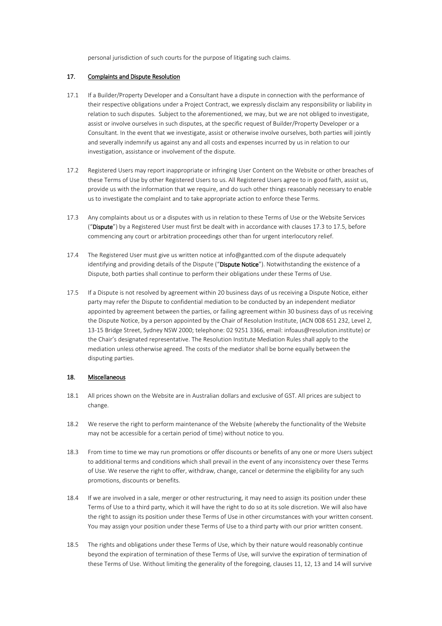personal jurisdiction of such courts for the purpose of litigating such claims.

### <span id="page-12-0"></span>17. Complaints and Dispute Resolution

- 17.1 If a Builder/Property Developer and a Consultant have a dispute in connection with the performance of their respective obligations under a Project Contract, we expressly disclaim any responsibility or liability in relation to such disputes. Subject to the aforementioned, we may, but we are not obliged to investigate, assist or involve ourselves in such disputes, at the specific request of Builder/Property Developer or a Consultant. In the event that we investigate, assist or otherwise involve ourselves, both parties will jointly and severally indemnify us against any and all costs and expenses incurred by us in relation to our investigation, assistance or involvement of the dispute.
- 17.2 Registered Users may report inappropriate or infringing User Content on the Website or other breaches of these Terms of Use by other Registered Users to us. All Registered Users agree to in good faith, assist us, provide us with the information that we require, and do such other things reasonably necessary to enable us to investigate the complaint and to take appropriate action to enforce these Terms.
- <span id="page-12-1"></span>17.3 Any complaints about us or a disputes with us in relation to these Terms of Use or the Website Services ("Dispute") by a Registered User must first be dealt with in accordance with clauses [17.3](#page-12-1) to [17.5,](#page-12-2) before commencing any court or arbitration proceedings other than for urgent interlocutory relief.
- 17.4 The Registered User must give us written notice at info@gantted.com of the dispute adequately identifying and providing details of the Dispute ("Dispute Notice"). Notwithstanding the existence of a Dispute, both parties shall continue to perform their obligations under these Terms of Use.
- <span id="page-12-2"></span>17.5 If a Dispute is not resolved by agreement within 20 business days of us receiving a Dispute Notice, either party may refer the Dispute to confidential mediation to be conducted by an independent mediator appointed by agreement between the parties, or failing agreement within 30 business days of us receiving the Dispute Notice, by a person appointed by the Chair of Resolution Institute, (ACN 008 651 232, Level 2, 13-15 Bridge Street, Sydney NSW 2000; telephone: 02 9251 3366, email: infoaus@resolution.institute) or the Chair's designated representative. The Resolution Institute Mediation Rules shall apply to the mediation unless otherwise agreed. The costs of the mediator shall be borne equally between the disputing parties.

### 18. Miscellaneous

- 18.1 All prices shown on the Website are in Australian dollars and exclusive of GST. All prices are subject to change.
- 18.2 We reserve the right to perform maintenance of the Website (whereby the functionality of the Website may not be accessible for a certain period of time) without notice to you.
- 18.3 From time to time we may run promotions or offer discounts or benefits of any one or more Users subject to additional terms and conditions which shall prevail in the event of any inconsistency over these Terms of Use. We reserve the right to offer, withdraw, change, cancel or determine the eligibility for any such promotions, discounts or benefits.
- 18.4 If we are involved in a sale, merger or other restructuring, it may need to assign its position under these Terms of Use to a third party, which it will have the right to do so at its sole discretion. We will also have the right to assign its position under these Terms of Use in other circumstances with your written consent. You may assign your position under these Terms of Use to a third party with our prior written consent.
- 18.5 The rights and obligations under these Terms of Use, which by their nature would reasonably continue beyond the expiration of termination of these Terms of Use, will survive the expiration of termination of these Terms of Use. Without limiting the generality of the foregoing, clauses 11, 12, 13 and 14 will survive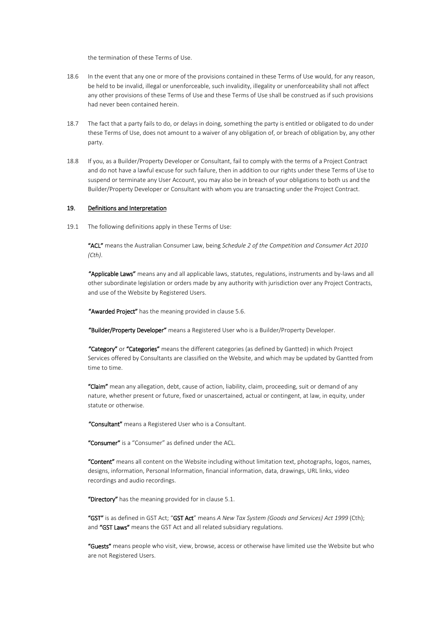the termination of these Terms of Use.

- 18.6 In the event that any one or more of the provisions contained in these Terms of Use would, for any reason, be held to be invalid, illegal or unenforceable, such invalidity, illegality or unenforceability shall not affect any other provisions of these Terms of Use and these Terms of Use shall be construed as if such provisions had never been contained herein.
- 18.7 The fact that a party fails to do, or delays in doing, something the party is entitled or obligated to do under these Terms of Use, does not amount to a waiver of any obligation of, or breach of obligation by, any other party.
- 18.8 If you, as a Builder/Property Developer or Consultant, fail to comply with the terms of a Project Contract and do not have a lawful excuse for such failure, then in addition to our rights under these Terms of Use to suspend or terminate any User Account, you may also be in breach of your obligations to both us and the Builder/Property Developer or Consultant with whom you are transacting under the Project Contract.

#### 19. Definitions and Interpretation

19.1 The following definitions apply in these Terms of Use:

"ACL" means the Australian Consumer Law, being *Schedule 2 of the Competition and Consumer Act 2010 (Cth)*.

"Applicable Laws" means any and all applicable laws, statutes, regulations, instruments and by-laws and all other subordinate legislation or orders made by any authority with jurisdiction over any Project Contracts, and use of the Website by Registered Users.

"Awarded Project" has the meaning provided in clause [5.6.](#page-4-1)

"Builder/Property Developer" means a Registered User who is a Builder/Property Developer.

"Category" or "Categories" means the different categories (as defined by Gantted) in which Project Services offered by Consultants are classified on the Website, and which may be updated by Gantted from time to time.

"Claim" mean any allegation, debt, cause of action, liability, claim, proceeding, suit or demand of any nature, whether present or future, fixed or unascertained, actual or contingent, at law, in equity, under statute or otherwise.

"Consultant" means a Registered User who is a Consultant.

"Consumer" is a "Consumer" as defined under the ACL.

"Content" means all content on the Website including without limitation text, photographs, logos, names, designs, information, Personal Information, financial information, data, drawings, URL links, video recordings and audio recordings.

"Directory" has the meaning provided for in clause [5.1.](#page-4-2)

"GST" is as defined in GST Act; "GST Act" means *A New Tax System (Goods and Services) Act 1999* (Cth); and "GST Laws" means the GST Act and all related subsidiary regulations.

"Guests" means people who visit, view, browse, access or otherwise have limited use the Website but who are not Registered Users.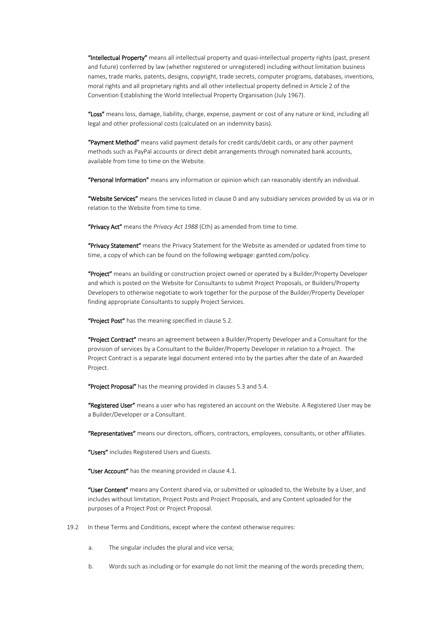"Intellectual Property" means all intellectual property and quasi-intellectual property rights (past, present and future) conferred by law (whether registered or unregistered) including without limitation business names, trade marks, patents, designs, copyright, trade secrets, computer programs, databases, inventions, moral rights and all proprietary rights and all other intellectual property defined in Article 2 of the Convention Establishing the World Intellectual Property Organisation (July 1967).

"Loss" means loss, damage, liability, charge, expense, payment or cost of any nature or kind, including all legal and other professional costs (calculated on an indemnity basis).

"Payment Method" means valid payment details for credit cards/debit cards, or any other payment methods such as PayPal accounts or direct debit arrangements through nominated bank accounts, available from time to time on the Website.

"Personal Information" means any information or opinion which can reasonably identify an individual.

"Website Services" means the services listed in clause [0](#page-2-2) and any subsidiary services provided by us via or in relation to the Website from time to time.

"Privacy Act" means the *Privacy Act 1988* (Cth) as amended from time to time.

"Privacy Statement" means the Privacy Statement for the Website as amended or updated from time to time, a copy of which can be found on the following webpage: gantted.com/policy.

"Project" means an building or construction project owned or operated by a Builder/Property Developer and which is posted on the Website for Consultants to submit Project Proposals, or Builders/Property Developers to otherwise negotiate to work together for the purpose of the Builder/Property Developer finding appropriate Consultants to supply Project Services.

"Project Post" has the meaning specified in clause [5.2.](#page-4-3)

"Project Contract" means an agreement between a Builder/Property Developer and a Consultant for the provision of services by a Consultant to the Builder/Property Developer in relation to a Project. The Project Contract is a separate legal document entered into by the parties after the date of an Awarded Project.

"Project Proposal" has the meaning provided in clauses [5.3](#page-4-4) and [5.4.](#page-4-5)

"Registered User" means a user who has registered an account on the Website. A Registered User may be a Builder/Developer or a Consultant.

"Representatives" means our directors, officers, contractors, employees, consultants, or other affiliates.

"Users" includes Registered Users and Guests.

"User Account" has the meaning provided in clause [4.1.](#page-3-1)

"User Content" means any Content shared via, or submitted or uploaded to, the Website by a User, and includes without limitation, Project Posts and Project Proposals, and any Content uploaded for the purposes of a Project Post or Project Proposal.

19.2 In these Terms and Conditions, except where the context otherwise requires:

- a. The singular includes the plural and vice versa;
- b. Words such as including or for example do not limit the meaning of the words preceding them;